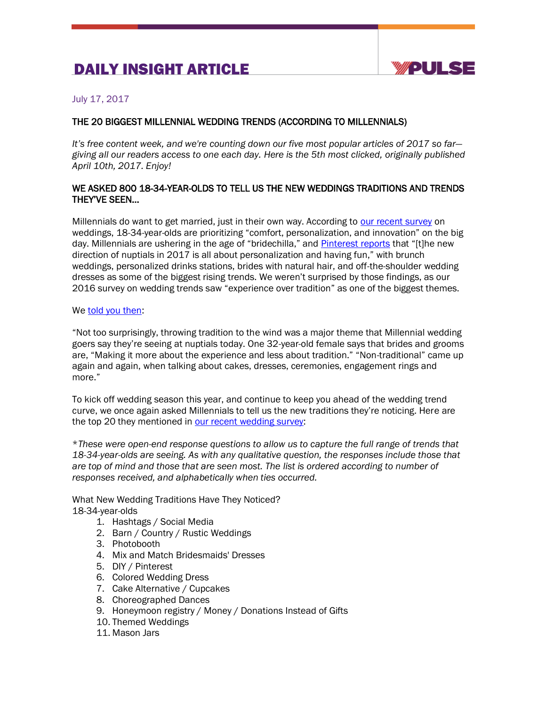# DAILY INSIGHT ARTICLE



July 17, 2017

## THE 20 BIGGEST MILLENNIAL WEDDING TRENDS (ACCORDING TO MILLENNIALS)

*It's free content week, and we're counting down our five most popular articles of 2017 so far giving all our readers access to one each day. Here is the 5th most clicked, originally published April 10th, 2017. Enjoy!*

### WE ASKED 800 18-34-YEAR-OLDS TO TELL US THE NEW WEDDINGS TRADITIONS AND TRENDS THEY'VE SEEN…

Millennials do want to get married, just in their own way. According to [our recent survey](http://ypulse.us4.list-manage.com/track/click?u=6cac395a9838a2afa7ff44da3&id=ae10c86077&e=9504d27bb8) on weddings, 18-34-year-olds are prioritizing "comfort, personalization, and innovation" on the big day. Millennials are ushering in the age of "bridechilla," and [Pinterest reports](http://ypulse.us4.list-manage1.com/track/click?u=6cac395a9838a2afa7ff44da3&id=4594111cf9&e=9504d27bb8) that "[t]he new direction of nuptials in 2017 is all about personalization and having fun," with brunch weddings, personalized drinks stations, brides with natural hair, and off-the-shoulder wedding dresses as some of the biggest rising trends. We weren't surprised by those findings, as our 2016 survey on wedding trends saw "experience over tradition" as one of the biggest themes.

#### We [told you then:](https://www.ypulse.com/post/view/millennials-sound-off-10-wedding-trends-theyre-seeing-right-now)

"Not too surprisingly, throwing tradition to the wind was a major theme that Millennial wedding goers say they're seeing at nuptials today. One 32-year-old female says that brides and grooms are, "Making it more about the experience and less about tradition." "Non-traditional" came up again and again, when talking about cakes, dresses, ceremonies, engagement rings and more."

To kick off wedding season this year, and continue to keep you ahead of the wedding trend curve, we once again asked Millennials to tell us the new traditions they're noticing. Here are the top 20 they mentioned in [our recent wedding survey:](https://www.ypulse.com/my-library/document/topline-dating-relationships-and-weddings)

\**These were open-end response questions to allow us to capture the full range of trends that 18-34-year-olds are seeing. As with any qualitative question, the responses include those that are top of mind and those that are seen most. The list is ordered according to number of responses received, and alphabetically when ties occurred.*

What New Wedding Traditions Have They Noticed? 18-34-year-olds

- 1. Hashtags / Social Media
- 2. Barn / Country / Rustic Weddings
- 3. Photobooth
- 4. Mix and Match Bridesmaids' Dresses
- 5. DIY / Pinterest
- 6. Colored Wedding Dress
- 7. Cake Alternative / Cupcakes
- 8. Choreographed Dances
- 9. Honeymoon registry / Money / Donations Instead of Gifts
- 10. Themed Weddings
- 11. Mason Jars